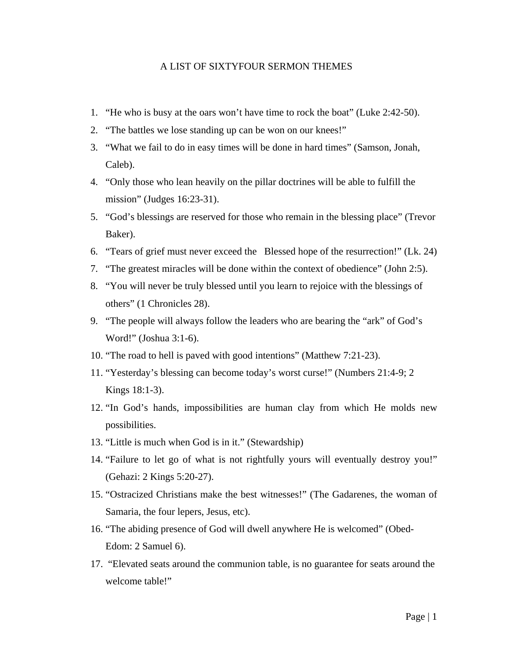## A LIST OF SIXTYFOUR SERMON THEMES

- 1. "He who is busy at the oars won't have time to rock the boat" (Luke 2:42-50).
- 2. "The battles we lose standing up can be won on our knees!"
- 3. "What we fail to do in easy times will be done in hard times" (Samson, Jonah, Caleb).
- 4. "Only those who lean heavily on the pillar doctrines will be able to fulfill the mission" (Judges 16:23-31).
- 5. "God's blessings are reserved for those who remain in the blessing place" (Trevor Baker).
- 6. "Tears of grief must never exceed the Blessed hope of the resurrection!" (Lk. 24)
- 7. "The greatest miracles will be done within the context of obedience" (John 2:5).
- 8. "You will never be truly blessed until you learn to rejoice with the blessings of others" (1 Chronicles 28).
- 9. "The people will always follow the leaders who are bearing the "ark" of God's Word!" (Joshua 3:1-6).
- 10. "The road to hell is paved with good intentions" (Matthew 7:21-23).
- 11. "Yesterday's blessing can become today's worst curse!" (Numbers 21:4-9; 2 Kings 18:1-3).
- 12. "In God's hands, impossibilities are human clay from which He molds new possibilities.
- 13. "Little is much when God is in it." (Stewardship)
- 14. "Failure to let go of what is not rightfully yours will eventually destroy you!" (Gehazi: 2 Kings 5:20-27).
- 15. "Ostracized Christians make the best witnesses!" (The Gadarenes, the woman of Samaria, the four lepers, Jesus, etc).
- 16. "The abiding presence of God will dwell anywhere He is welcomed" (Obed-Edom: 2 Samuel 6).
- 17. "Elevated seats around the communion table, is no guarantee for seats around the welcome table!"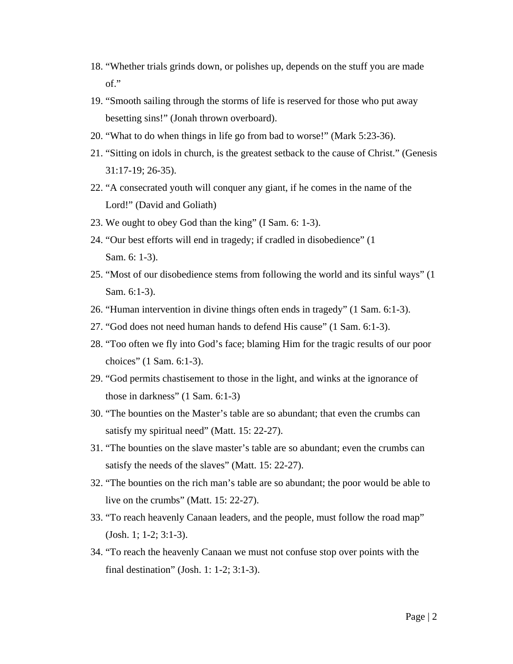- 18. "Whether trials grinds down, or polishes up, depends on the stuff you are made of."
- 19. "Smooth sailing through the storms of life is reserved for those who put away besetting sins!" (Jonah thrown overboard).
- 20. "What to do when things in life go from bad to worse!" (Mark 5:23-36).
- 21. "Sitting on idols in church, is the greatest setback to the cause of Christ." (Genesis 31:17-19; 26-35).
- 22. "A consecrated youth will conquer any giant, if he comes in the name of the Lord!" (David and Goliath)
- 23. We ought to obey God than the king" (I Sam. 6: 1-3).
- 24. "Our best efforts will end in tragedy; if cradled in disobedience" (1 Sam. 6: 1-3).
- 25. "Most of our disobedience stems from following the world and its sinful ways" (1 Sam. 6:1-3).
- 26. "Human intervention in divine things often ends in tragedy" (1 Sam. 6:1-3).
- 27. "God does not need human hands to defend His cause" (1 Sam. 6:1-3).
- 28. "Too often we fly into God's face; blaming Him for the tragic results of our poor choices" (1 Sam. 6:1-3).
- 29. "God permits chastisement to those in the light, and winks at the ignorance of those in darkness" (1 Sam. 6:1-3)
- 30. "The bounties on the Master's table are so abundant; that even the crumbs can satisfy my spiritual need" (Matt. 15: 22-27).
- 31. "The bounties on the slave master's table are so abundant; even the crumbs can satisfy the needs of the slaves" (Matt. 15: 22-27).
- 32. "The bounties on the rich man's table are so abundant; the poor would be able to live on the crumbs" (Matt. 15: 22-27).
- 33. "To reach heavenly Canaan leaders, and the people, must follow the road map" (Josh. 1; 1-2; 3:1-3).
- 34. "To reach the heavenly Canaan we must not confuse stop over points with the final destination" (Josh. 1: 1-2; 3:1-3).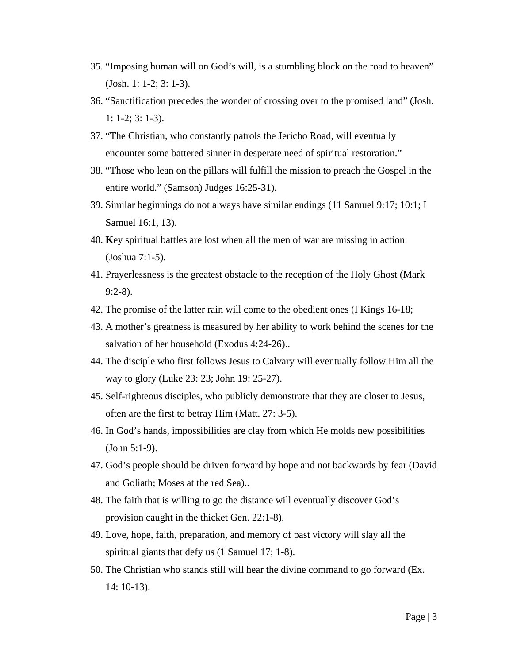- 35. "Imposing human will on God's will, is a stumbling block on the road to heaven" (Josh. 1: 1-2; 3: 1-3).
- 36. "Sanctification precedes the wonder of crossing over to the promised land" (Josh. 1: 1-2; 3: 1-3).
- 37. "The Christian, who constantly patrols the Jericho Road, will eventually encounter some battered sinner in desperate need of spiritual restoration."
- 38. "Those who lean on the pillars will fulfill the mission to preach the Gospel in the entire world." (Samson) Judges 16:25-31).
- 39. Similar beginnings do not always have similar endings (11 Samuel 9:17; 10:1; I Samuel 16:1, 13).
- 40. **K**ey spiritual battles are lost when all the men of war are missing in action (Joshua 7:1-5).
- 41. Prayerlessness is the greatest obstacle to the reception of the Holy Ghost (Mark 9:2-8).
- 42. The promise of the latter rain will come to the obedient ones (I Kings 16-18;
- 43. A mother's greatness is measured by her ability to work behind the scenes for the salvation of her household (Exodus 4:24-26)..
- 44. The disciple who first follows Jesus to Calvary will eventually follow Him all the way to glory (Luke 23: 23; John 19: 25-27).
- 45. Self-righteous disciples, who publicly demonstrate that they are closer to Jesus, often are the first to betray Him (Matt. 27: 3-5).
- 46. In God's hands, impossibilities are clay from which He molds new possibilities (John 5:1-9).
- 47. God's people should be driven forward by hope and not backwards by fear (David and Goliath; Moses at the red Sea)..
- 48. The faith that is willing to go the distance will eventually discover God's provision caught in the thicket Gen. 22:1-8).
- 49. Love, hope, faith, preparation, and memory of past victory will slay all the spiritual giants that defy us (1 Samuel 17; 1-8).
- 50. The Christian who stands still will hear the divine command to go forward (Ex. 14: 10-13).